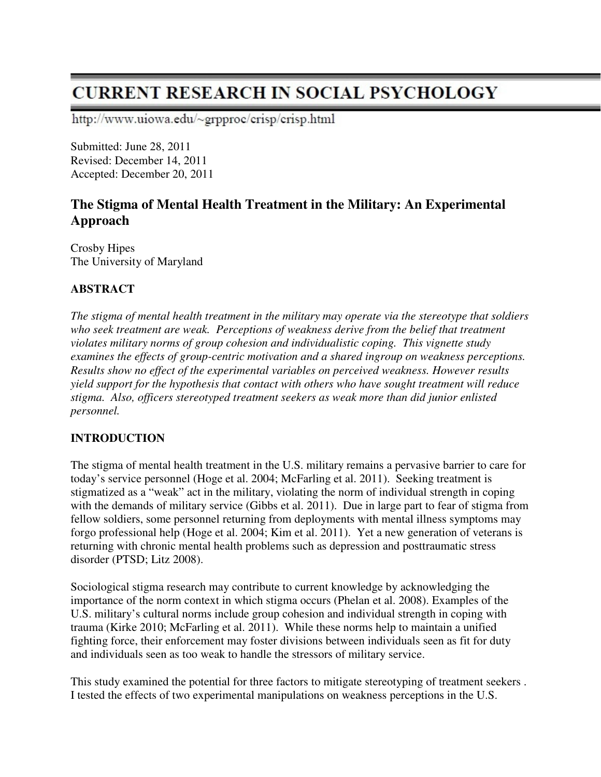# **CURRENT RESEARCH IN SOCIAL PSYCHOLOGY**

http://www.uiowa.edu/~grpproc/crisp/crisp.html

Submitted: June 28, 2011 Revised: December 14, 2011 Accepted: December 20, 2011

## **The Stigma of Mental Health Treatment in the Military: An Experimental Approach**

Crosby Hipes The University of Maryland

## **ABSTRACT**

*The stigma of mental health treatment in the military may operate via the stereotype that soldiers who seek treatment are weak. Perceptions of weakness derive from the belief that treatment violates military norms of group cohesion and individualistic coping. This vignette study examines the effects of group-centric motivation and a shared ingroup on weakness perceptions. Results show no effect of the experimental variables on perceived weakness. However results yield support for the hypothesis that contact with others who have sought treatment will reduce stigma. Also, officers stereotyped treatment seekers as weak more than did junior enlisted personnel.* 

## **INTRODUCTION**

The stigma of mental health treatment in the U.S. military remains a pervasive barrier to care for today's service personnel (Hoge et al. 2004; McFarling et al. 2011). Seeking treatment is stigmatized as a "weak" act in the military, violating the norm of individual strength in coping with the demands of military service (Gibbs et al. 2011). Due in large part to fear of stigma from fellow soldiers, some personnel returning from deployments with mental illness symptoms may forgo professional help (Hoge et al. 2004; Kim et al. 2011). Yet a new generation of veterans is returning with chronic mental health problems such as depression and posttraumatic stress disorder (PTSD; Litz 2008).

Sociological stigma research may contribute to current knowledge by acknowledging the importance of the norm context in which stigma occurs (Phelan et al. 2008). Examples of the U.S. military's cultural norms include group cohesion and individual strength in coping with trauma (Kirke 2010; McFarling et al. 2011). While these norms help to maintain a unified fighting force, their enforcement may foster divisions between individuals seen as fit for duty and individuals seen as too weak to handle the stressors of military service.

This study examined the potential for three factors to mitigate stereotyping of treatment seekers . I tested the effects of two experimental manipulations on weakness perceptions in the U.S.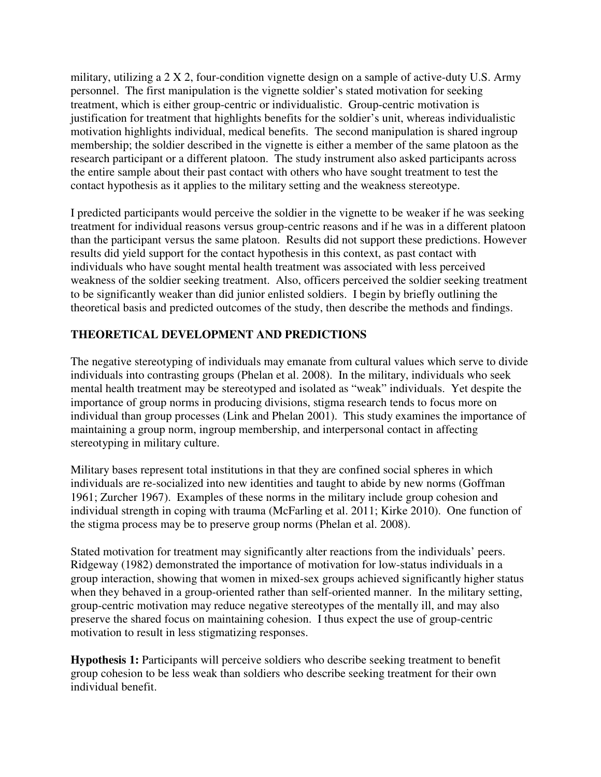military, utilizing a 2 X 2, four-condition vignette design on a sample of active-duty U.S. Army personnel. The first manipulation is the vignette soldier's stated motivation for seeking treatment, which is either group-centric or individualistic. Group-centric motivation is justification for treatment that highlights benefits for the soldier's unit, whereas individualistic motivation highlights individual, medical benefits. The second manipulation is shared ingroup membership; the soldier described in the vignette is either a member of the same platoon as the research participant or a different platoon. The study instrument also asked participants across the entire sample about their past contact with others who have sought treatment to test the contact hypothesis as it applies to the military setting and the weakness stereotype.

I predicted participants would perceive the soldier in the vignette to be weaker if he was seeking treatment for individual reasons versus group-centric reasons and if he was in a different platoon than the participant versus the same platoon. Results did not support these predictions. However results did yield support for the contact hypothesis in this context, as past contact with individuals who have sought mental health treatment was associated with less perceived weakness of the soldier seeking treatment. Also, officers perceived the soldier seeking treatment to be significantly weaker than did junior enlisted soldiers. I begin by briefly outlining the theoretical basis and predicted outcomes of the study, then describe the methods and findings.

## **THEORETICAL DEVELOPMENT AND PREDICTIONS**

The negative stereotyping of individuals may emanate from cultural values which serve to divide individuals into contrasting groups (Phelan et al. 2008). In the military, individuals who seek mental health treatment may be stereotyped and isolated as "weak" individuals. Yet despite the importance of group norms in producing divisions, stigma research tends to focus more on individual than group processes (Link and Phelan 2001). This study examines the importance of maintaining a group norm, ingroup membership, and interpersonal contact in affecting stereotyping in military culture.

Military bases represent total institutions in that they are confined social spheres in which individuals are re-socialized into new identities and taught to abide by new norms (Goffman 1961; Zurcher 1967). Examples of these norms in the military include group cohesion and individual strength in coping with trauma (McFarling et al. 2011; Kirke 2010). One function of the stigma process may be to preserve group norms (Phelan et al. 2008).

Stated motivation for treatment may significantly alter reactions from the individuals' peers. Ridgeway (1982) demonstrated the importance of motivation for low-status individuals in a group interaction, showing that women in mixed-sex groups achieved significantly higher status when they behaved in a group-oriented rather than self-oriented manner. In the military setting, group-centric motivation may reduce negative stereotypes of the mentally ill, and may also preserve the shared focus on maintaining cohesion. I thus expect the use of group-centric motivation to result in less stigmatizing responses.

**Hypothesis 1:** Participants will perceive soldiers who describe seeking treatment to benefit group cohesion to be less weak than soldiers who describe seeking treatment for their own individual benefit.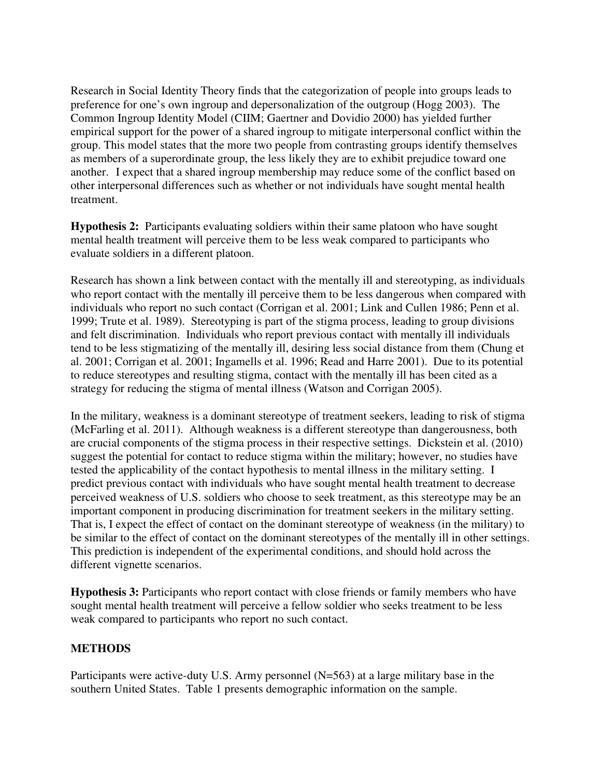Research in Social Identity Theory finds that the categorization of people into groups leads to preference for one's own ingroup and depersonalization of the outgroup (Hogg 2003). The Common Ingroup Identity Model (CIIM; Gaertner and Dovidio 2000) has yielded further empirical support for the power of a shared ingroup to mitigate interpersonal conflict within the group. This model states that the more two people from contrasting groups identify themselves as members of a superordinate group, the less likely they are to exhibit prejudice toward one another. I expect that a shared ingroup membership may reduce some of the conflict based on other interpersonal differences such as whether or not individuals have sought mental health treatment.

**Hypothesis 2:** Participants evaluating soldiers within their same platoon who have sought mental health treatment will perceive them to be less weak compared to participants who evaluate soldiers in a different platoon.

Research has shown a link between contact with the mentally ill and stereotyping, as individuals who report contact with the mentally ill perceive them to be less dangerous when compared with individuals who report no such contact (Corrigan et al. 2001; Link and Cullen 1986; Penn et al. 1999; Trute et al. 1989). Stereotyping is part of the stigma process, leading to group divisions and felt discrimination. Individuals who report previous contact with mentally ill individuals tend to be less stigmatizing of the mentally ill, desiring less social distance from them (Chung et al. 2001; Corrigan et al. 2001; Ingamells et al. 1996; Read and Harre 2001). Due to its potential to reduce stereotypes and resulting stigma, contact with the mentally ill has been cited as a strategy for reducing the stigma of mental illness (Watson and Corrigan 2005).

In the military, weakness is a dominant stereotype of treatment seekers, leading to risk of stigma (McFarling et al. 2011). Although weakness is a different stereotype than dangerousness, both are crucial components of the stigma process in their respective settings. Dickstein et al. (2010) suggest the potential for contact to reduce stigma within the military; however, no studies have tested the applicability of the contact hypothesis to mental illness in the military setting. I predict previous contact with individuals who have sought mental health treatment to decrease perceived weakness of U.S. soldiers who choose to seek treatment, as this stereotype may be an important component in producing discrimination for treatment seekers in the military setting. That is, I expect the effect of contact on the dominant stereotype of weakness (in the military) to be similar to the effect of contact on the dominant stereotypes of the mentally ill in other settings. This prediction is independent of the experimental conditions, and should hold across the different vignette scenarios.

**Hypothesis 3:** Participants who report contact with close friends or family members who have sought mental health treatment will perceive a fellow soldier who seeks treatment to be less weak compared to participants who report no such contact.

#### **METHODS**

Participants were active-duty U.S. Army personnel (N=563) at a large military base in the southern United States. Table 1 presents demographic information on the sample.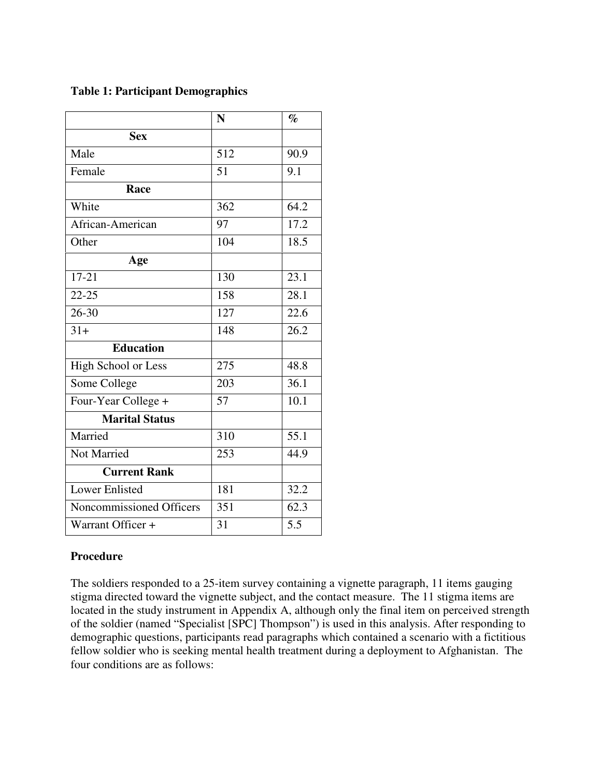## **Table 1: Participant Demographics**

|                          | N                | $\%$              |
|--------------------------|------------------|-------------------|
| <b>Sex</b>               |                  |                   |
| Male                     | $\overline{512}$ | 90.9              |
| Female                   | 51               | 9.1               |
| Race                     |                  |                   |
| White                    | 362              | 64.2              |
| African-American         | 97               | 17.2              |
| Other                    | 104              | 18.5              |
| Age                      |                  |                   |
| $17 - 21$                | 130              | 23.1              |
| $\overline{22 - 25}$     | 158              | 28.1              |
| $26 - 30$                | 127              | 22.6              |
| $31+$                    | 148              | 26.2              |
| <b>Education</b>         |                  |                   |
| High School or Less      | 275              | 48.8              |
| Some College             | 203              | 36.1              |
| Four-Year College +      | 57               | 10.1              |
| <b>Marital Status</b>    |                  |                   |
| Married                  | 310              | $\overline{55.1}$ |
| Not Married              | 253              | 44.9              |
| <b>Current Rank</b>      |                  |                   |
| <b>Lower Enlisted</b>    | 181              | 32.2              |
| Noncommissioned Officers | 351              | 62.3              |
| Warrant Officer +        | 31               | 5.5               |

## **Procedure**

The soldiers responded to a 25-item survey containing a vignette paragraph, 11 items gauging stigma directed toward the vignette subject, and the contact measure. The 11 stigma items are located in the study instrument in Appendix A, although only the final item on perceived strength of the soldier (named "Specialist [SPC] Thompson") is used in this analysis. After responding to demographic questions, participants read paragraphs which contained a scenario with a fictitious fellow soldier who is seeking mental health treatment during a deployment to Afghanistan. The four conditions are as follows: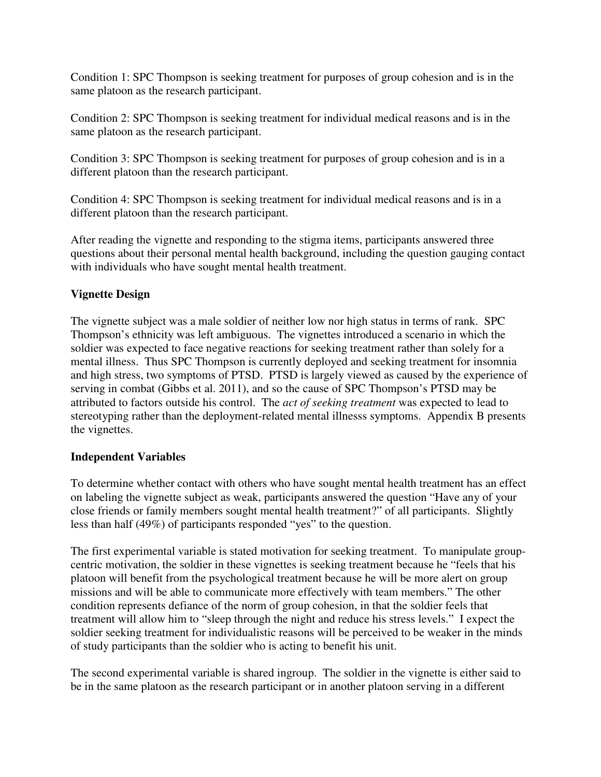Condition 1: SPC Thompson is seeking treatment for purposes of group cohesion and is in the same platoon as the research participant.

Condition 2: SPC Thompson is seeking treatment for individual medical reasons and is in the same platoon as the research participant.

Condition 3: SPC Thompson is seeking treatment for purposes of group cohesion and is in a different platoon than the research participant.

Condition 4: SPC Thompson is seeking treatment for individual medical reasons and is in a different platoon than the research participant.

After reading the vignette and responding to the stigma items, participants answered three questions about their personal mental health background, including the question gauging contact with individuals who have sought mental health treatment.

## **Vignette Design**

The vignette subject was a male soldier of neither low nor high status in terms of rank. SPC Thompson's ethnicity was left ambiguous. The vignettes introduced a scenario in which the soldier was expected to face negative reactions for seeking treatment rather than solely for a mental illness. Thus SPC Thompson is currently deployed and seeking treatment for insomnia and high stress, two symptoms of PTSD. PTSD is largely viewed as caused by the experience of serving in combat (Gibbs et al. 2011), and so the cause of SPC Thompson's PTSD may be attributed to factors outside his control. The *act of seeking treatment* was expected to lead to stereotyping rather than the deployment-related mental illnesss symptoms. Appendix B presents the vignettes.

## **Independent Variables**

To determine whether contact with others who have sought mental health treatment has an effect on labeling the vignette subject as weak, participants answered the question "Have any of your close friends or family members sought mental health treatment?" of all participants. Slightly less than half (49%) of participants responded "yes" to the question.

The first experimental variable is stated motivation for seeking treatment. To manipulate groupcentric motivation, the soldier in these vignettes is seeking treatment because he "feels that his platoon will benefit from the psychological treatment because he will be more alert on group missions and will be able to communicate more effectively with team members." The other condition represents defiance of the norm of group cohesion, in that the soldier feels that treatment will allow him to "sleep through the night and reduce his stress levels." I expect the soldier seeking treatment for individualistic reasons will be perceived to be weaker in the minds of study participants than the soldier who is acting to benefit his unit.

The second experimental variable is shared ingroup. The soldier in the vignette is either said to be in the same platoon as the research participant or in another platoon serving in a different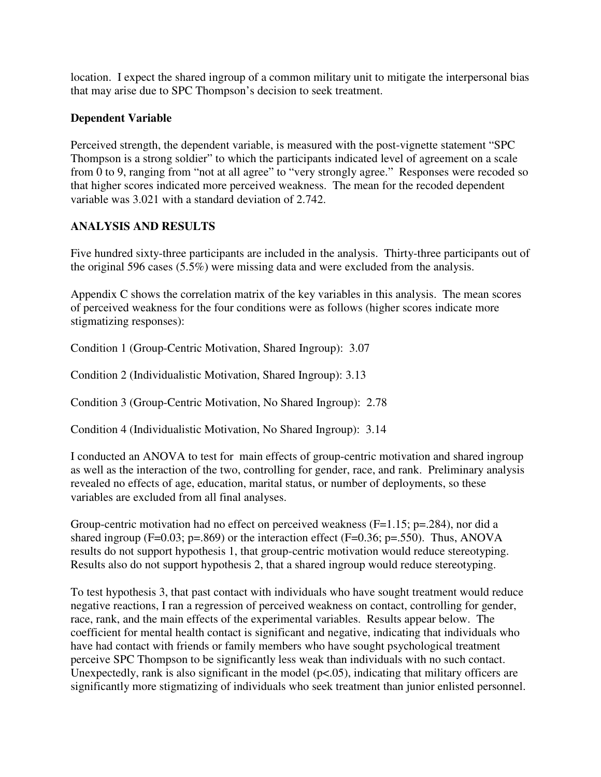location. I expect the shared ingroup of a common military unit to mitigate the interpersonal bias that may arise due to SPC Thompson's decision to seek treatment.

## **Dependent Variable**

Perceived strength, the dependent variable, is measured with the post-vignette statement "SPC Thompson is a strong soldier" to which the participants indicated level of agreement on a scale from 0 to 9, ranging from "not at all agree" to "very strongly agree." Responses were recoded so that higher scores indicated more perceived weakness. The mean for the recoded dependent variable was 3.021 with a standard deviation of 2.742.

## **ANALYSIS AND RESULTS**

Five hundred sixty-three participants are included in the analysis. Thirty-three participants out of the original 596 cases (5.5%) were missing data and were excluded from the analysis.

Appendix C shows the correlation matrix of the key variables in this analysis. The mean scores of perceived weakness for the four conditions were as follows (higher scores indicate more stigmatizing responses):

Condition 1 (Group-Centric Motivation, Shared Ingroup): 3.07

Condition 2 (Individualistic Motivation, Shared Ingroup): 3.13

Condition 3 (Group-Centric Motivation, No Shared Ingroup): 2.78

Condition 4 (Individualistic Motivation, No Shared Ingroup): 3.14

I conducted an ANOVA to test for main effects of group-centric motivation and shared ingroup as well as the interaction of the two, controlling for gender, race, and rank. Preliminary analysis revealed no effects of age, education, marital status, or number of deployments, so these variables are excluded from all final analyses.

Group-centric motivation had no effect on perceived weakness ( $F=1.15$ ; p=.284), nor did a shared ingroup (F=0.03; p=.869) or the interaction effect (F=0.36; p=.550). Thus, ANOVA results do not support hypothesis 1, that group-centric motivation would reduce stereotyping. Results also do not support hypothesis 2, that a shared ingroup would reduce stereotyping.

To test hypothesis 3, that past contact with individuals who have sought treatment would reduce negative reactions, I ran a regression of perceived weakness on contact, controlling for gender, race, rank, and the main effects of the experimental variables. Results appear below. The coefficient for mental health contact is significant and negative, indicating that individuals who have had contact with friends or family members who have sought psychological treatment perceive SPC Thompson to be significantly less weak than individuals with no such contact. Unexpectedly, rank is also significant in the model  $(p<.05)$ , indicating that military officers are significantly more stigmatizing of individuals who seek treatment than junior enlisted personnel.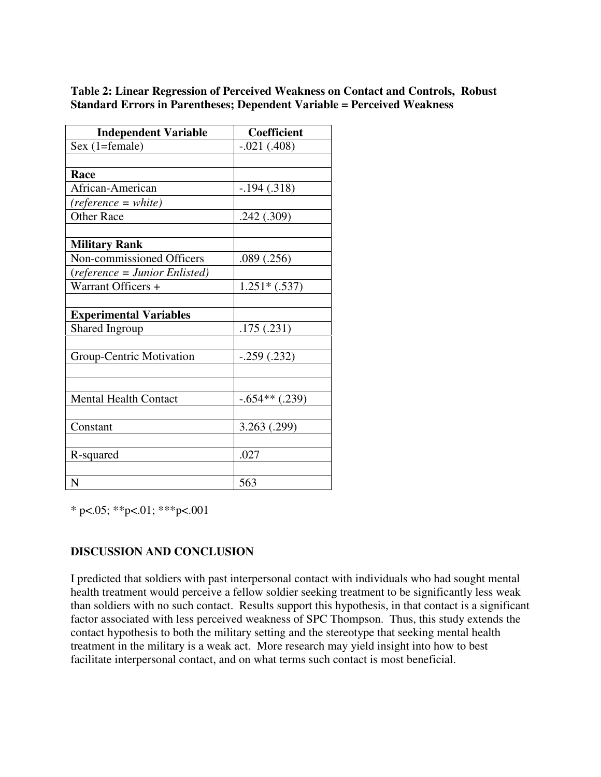#### **Table 2: Linear Regression of Perceived Weakness on Contact and Controls, Robust Standard Errors in Parentheses; Dependent Variable = Perceived Weakness**

| <b>Independent Variable</b>   | <b>Coefficient</b> |
|-------------------------------|--------------------|
| Sex (1=female)                | $-.021(.408)$      |
|                               |                    |
| Race                          |                    |
| African-American              | $-.194(.318)$      |
| $(reference = white)$         |                    |
| <b>Other Race</b>             | .242(.309)         |
|                               |                    |
| <b>Military Rank</b>          |                    |
| Non-commissioned Officers     | .089(.256)         |
| (reference = Junior Enlisted) |                    |
| Warrant Officers +            | $1.251*(.537)$     |
|                               |                    |
| <b>Experimental Variables</b> |                    |
| Shared Ingroup                | .175(.231)         |
|                               |                    |
| Group-Centric Motivation      | $-.259(.232)$      |
|                               |                    |
|                               |                    |
| <b>Mental Health Contact</b>  | $-.654**(.239)$    |
|                               |                    |
| Constant                      | 3.263 (.299)       |
|                               |                    |
| R-squared                     | .027               |
|                               |                    |
| N                             | 563                |

\* p<.05; \*\*p<.01; \*\*\*p<.001

## **DISCUSSION AND CONCLUSION**

I predicted that soldiers with past interpersonal contact with individuals who had sought mental health treatment would perceive a fellow soldier seeking treatment to be significantly less weak than soldiers with no such contact. Results support this hypothesis, in that contact is a significant factor associated with less perceived weakness of SPC Thompson. Thus, this study extends the contact hypothesis to both the military setting and the stereotype that seeking mental health treatment in the military is a weak act. More research may yield insight into how to best facilitate interpersonal contact, and on what terms such contact is most beneficial.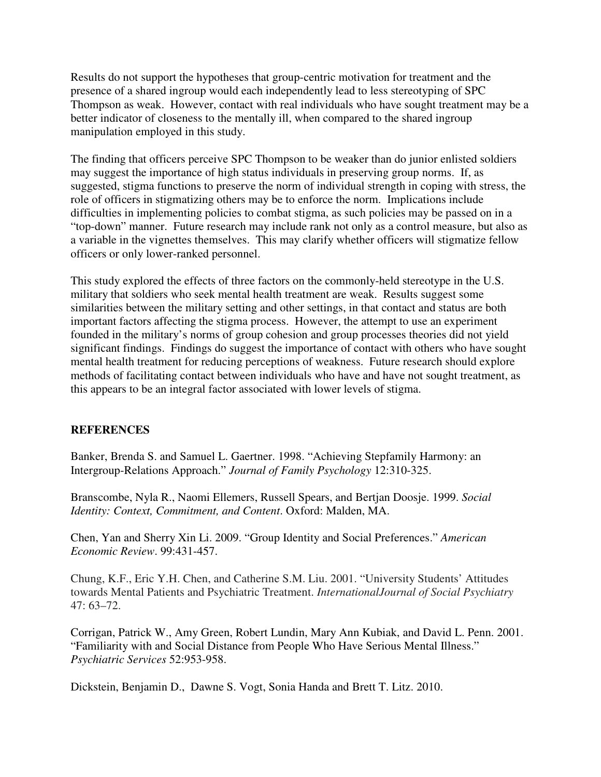Results do not support the hypotheses that group-centric motivation for treatment and the presence of a shared ingroup would each independently lead to less stereotyping of SPC Thompson as weak. However, contact with real individuals who have sought treatment may be a better indicator of closeness to the mentally ill, when compared to the shared ingroup manipulation employed in this study.

The finding that officers perceive SPC Thompson to be weaker than do junior enlisted soldiers may suggest the importance of high status individuals in preserving group norms. If, as suggested, stigma functions to preserve the norm of individual strength in coping with stress, the role of officers in stigmatizing others may be to enforce the norm. Implications include difficulties in implementing policies to combat stigma, as such policies may be passed on in a "top-down" manner. Future research may include rank not only as a control measure, but also as a variable in the vignettes themselves. This may clarify whether officers will stigmatize fellow officers or only lower-ranked personnel.

This study explored the effects of three factors on the commonly-held stereotype in the U.S. military that soldiers who seek mental health treatment are weak. Results suggest some similarities between the military setting and other settings, in that contact and status are both important factors affecting the stigma process. However, the attempt to use an experiment founded in the military's norms of group cohesion and group processes theories did not yield significant findings. Findings do suggest the importance of contact with others who have sought mental health treatment for reducing perceptions of weakness. Future research should explore methods of facilitating contact between individuals who have and have not sought treatment, as this appears to be an integral factor associated with lower levels of stigma.

## **REFERENCES**

Banker, Brenda S. and Samuel L. Gaertner. 1998. "Achieving Stepfamily Harmony: an Intergroup-Relations Approach." *Journal of Family Psychology* 12:310-325.

Branscombe, Nyla R., Naomi Ellemers, Russell Spears, and Bertjan Doosje. 1999. *Social Identity: Context, Commitment, and Content*. Oxford: Malden, MA.

Chen, Yan and Sherry Xin Li. 2009. "Group Identity and Social Preferences." *American Economic Review*. 99:431-457.

Chung, K.F., Eric Y.H. Chen, and Catherine S.M. Liu. 2001. "University Students' Attitudes towards Mental Patients and Psychiatric Treatment. *InternationalJournal of Social Psychiatry* 47: 63–72.

Corrigan, Patrick W., Amy Green, Robert Lundin, Mary Ann Kubiak, and David L. Penn. 2001. "Familiarity with and Social Distance from People Who Have Serious Mental Illness." *Psychiatric Services* 52:953-958.

Dickstein, Benjamin D., Dawne S. Vogt, Sonia Handa and Brett T. Litz. 2010.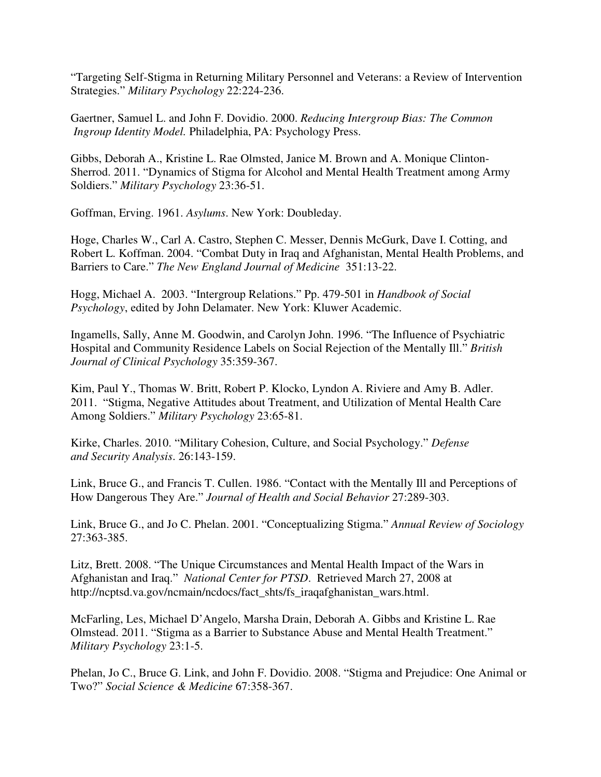"Targeting Self-Stigma in Returning Military Personnel and Veterans: a Review of Intervention Strategies." *Military Psychology* 22:224-236.

Gaertner, Samuel L. and John F. Dovidio. 2000. *Reducing Intergroup Bias: The Common Ingroup Identity Model.* Philadelphia, PA: Psychology Press.

Gibbs, Deborah A., Kristine L. Rae Olmsted, Janice M. Brown and A. Monique Clinton-Sherrod. 2011. "Dynamics of Stigma for Alcohol and Mental Health Treatment among Army Soldiers." *Military Psychology* 23:36-51.

Goffman, Erving. 1961. *Asylums*. New York: Doubleday.

Hoge, Charles W., Carl A. Castro, Stephen C. Messer, Dennis McGurk, Dave I. Cotting, and Robert L. Koffman. 2004. "Combat Duty in Iraq and Afghanistan, Mental Health Problems, and Barriers to Care." *The New England Journal of Medicine* 351:13-22.

Hogg, Michael A. 2003. "Intergroup Relations." Pp. 479-501 in *Handbook of Social Psychology*, edited by John Delamater. New York: Kluwer Academic.

Ingamells, Sally, Anne M. Goodwin, and Carolyn John. 1996. "The Influence of Psychiatric Hospital and Community Residence Labels on Social Rejection of the Mentally Ill." *British Journal of Clinical Psychology* 35:359-367.

Kim, Paul Y., Thomas W. Britt, Robert P. Klocko, Lyndon A. Riviere and Amy B. Adler. 2011. "Stigma, Negative Attitudes about Treatment, and Utilization of Mental Health Care Among Soldiers." *Military Psychology* 23:65-81.

Kirke, Charles. 2010. "Military Cohesion, Culture, and Social Psychology." *Defense and Security Analysis*. 26:143-159.

Link, Bruce G., and Francis T. Cullen. 1986. "Contact with the Mentally Ill and Perceptions of How Dangerous They Are." *Journal of Health and Social Behavior* 27:289-303.

Link, Bruce G., and Jo C. Phelan. 2001. "Conceptualizing Stigma." *Annual Review of Sociology* 27:363-385.

Litz, Brett. 2008. "The Unique Circumstances and Mental Health Impact of the Wars in Afghanistan and Iraq." *National Center for PTSD*. Retrieved March 27, 2008 at http://ncptsd.va.gov/ncmain/ncdocs/fact\_shts/fs\_iraqafghanistan\_wars.html.

McFarling, Les, Michael D'Angelo, Marsha Drain, Deborah A. Gibbs and Kristine L. Rae Olmstead. 2011. "Stigma as a Barrier to Substance Abuse and Mental Health Treatment." *Military Psychology* 23:1-5.

Phelan, Jo C., Bruce G. Link, and John F. Dovidio. 2008. "Stigma and Prejudice: One Animal or Two?" *Social Science & Medicine* 67:358-367.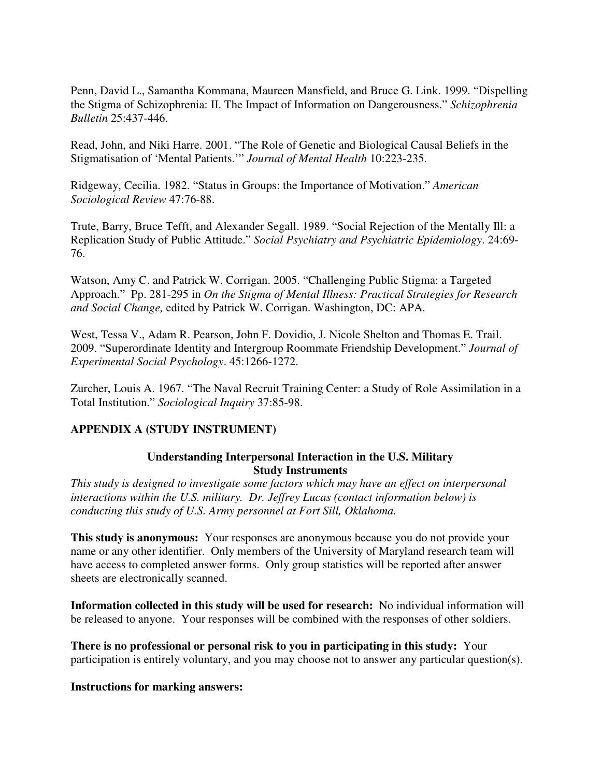Penn, David L., Samantha Kommana, Maureen Mansfield, and Bruce G. Link. 1999. "Dispelling the Stigma of Schizophrenia: II. The Impact of Information on Dangerousness." *Schizophrenia Bulletin* 25:437-446.

Read, John, and Niki Harre. 2001. "The Role of Genetic and Biological Causal Beliefs in the Stigmatisation of 'Mental Patients.'" *Journal of Mental Health* 10:223-235.

Ridgeway, Cecilia. 1982. "Status in Groups: the Importance of Motivation." *American Sociological Review* 47:76-88.

Trute, Barry, Bruce Tefft, and Alexander Segall. 1989. "Social Rejection of the Mentally Ill: a Replication Study of Public Attitude." *Social Psychiatry and Psychiatric Epidemiology*. 24:69- 76.

Watson, Amy C. and Patrick W. Corrigan. 2005. "Challenging Public Stigma: a Targeted Approach." Pp. 281-295 in *On the Stigma of Mental Illness: Practical Strategies for Research and Social Change,* edited by Patrick W. Corrigan. Washington, DC: APA.

West, Tessa V., Adam R. Pearson, John F. Dovidio, J. Nicole Shelton and Thomas E. Trail. 2009. "Superordinate Identity and Intergroup Roommate Friendship Development." *Journal of Experimental Social Psychology*. 45:1266-1272.

Zurcher, Louis A. 1967. "The Naval Recruit Training Center: a Study of Role Assimilation in a Total Institution." *Sociological Inquiry* 37:85-98.

## **APPENDIX A (STUDY INSTRUMENT)**

#### **Understanding Interpersonal Interaction in the U.S. Military Study Instruments**

*This study is designed to investigate some factors which may have an effect on interpersonal interactions within the U.S. military. Dr. Jeffrey Lucas (contact information below) is conducting this study of U.S. Army personnel at Fort Sill, Oklahoma.* 

**This study is anonymous:** Your responses are anonymous because you do not provide your name or any other identifier. Only members of the University of Maryland research team will have access to completed answer forms. Only group statistics will be reported after answer sheets are electronically scanned.

**Information collected in this study will be used for research:** No individual information will be released to anyone. Your responses will be combined with the responses of other soldiers.

**There is no professional or personal risk to you in participating in this study:** Your participation is entirely voluntary, and you may choose not to answer any particular question(s).

#### **Instructions for marking answers:**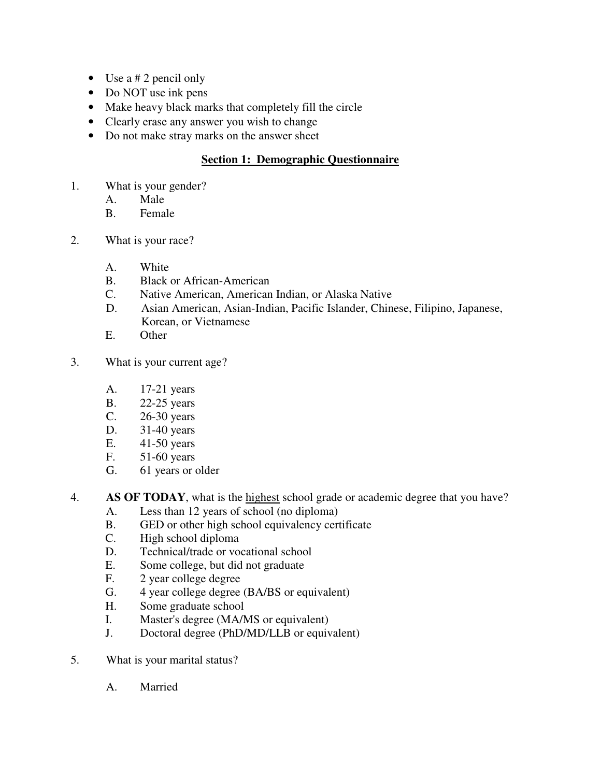- Use  $a \# 2$  pencil only
- Do NOT use ink pens
- Make heavy black marks that completely fill the circle
- Clearly erase any answer you wish to change
- Do not make stray marks on the answer sheet

## **Section 1: Demographic Questionnaire**

- 1. What is your gender?
	- A. Male
	- B. Female
- 2. What is your race?
	- A. White
	- B. Black or African-American
	- C. Native American, American Indian, or Alaska Native
	- D. Asian American, Asian-Indian, Pacific Islander, Chinese, Filipino, Japanese, Korean, or Vietnamese
	- E. Other
- 3. What is your current age?
	- A. 17-21 years
	- B. 22-25 years
	- C. 26-30 years
	- D. 31-40 years
	- E. 41-50 years
	- F. 51-60 years
	- G. 61 years or older
- 4. **AS OF TODAY**, what is the highest school grade or academic degree that you have?
	- A. Less than 12 years of school (no diploma)
	- B. GED or other high school equivalency certificate
	- C. High school diploma
	- D. Technical/trade or vocational school
	- E. Some college, but did not graduate
	- F. 2 year college degree
	- G. 4 year college degree (BA/BS or equivalent)<br>H. Some graduate school
	- Some graduate school
	- I. Master's degree (MA/MS or equivalent)
	- J. Doctoral degree (PhD/MD/LLB or equivalent)
- 5. What is your marital status?
	- A. Married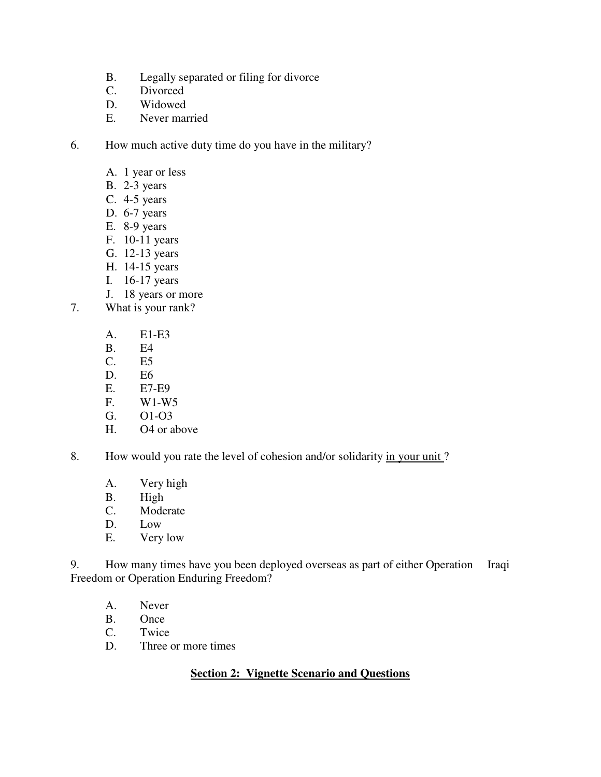- B. Legally separated or filing for divorce
- C. Divorced
- D. Widowed
- E. Never married
- 6. How much active duty time do you have in the military?
	- A. 1 year or less
	- B. 2-3 years
	- C. 4-5 years
	- D. 6-7 years
	- E. 8-9 years
	- F. 10-11 years
	- G. 12-13 years
	- H. 14-15 years
	- I. 16-17 years
	- J. 18 years or more
- 7. What is your rank?
	- A. E1-E3
	- B. E4
	- C. E5
	- D. E6<br>E. E7-
	- E7-E9
	- F. W1-W5
	- G. O1-O3
	- H. O4 or above
- 8. How would you rate the level of cohesion and/or solidarity in your unit?
	- A. Very high
	- B. High
	- C. Moderate
	- D. Low
	- E. Very low

9. How many times have you been deployed overseas as part of either Operation Iraqi Freedom or Operation Enduring Freedom?

- A. Never
- B. Once<br>C. Twice
- Twice
- D. Three or more times

## **Section 2: Vignette Scenario and Questions**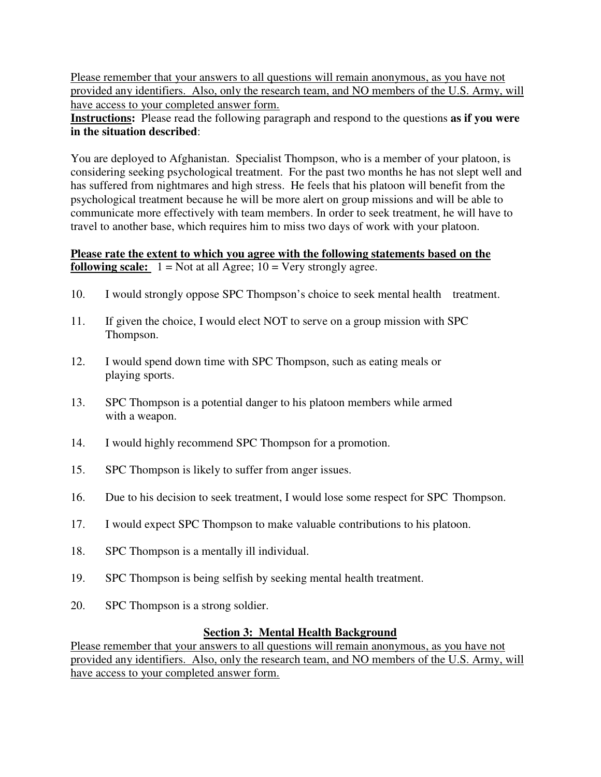Please remember that your answers to all questions will remain anonymous, as you have not provided any identifiers. Also, only the research team, and NO members of the U.S. Army, will have access to your completed answer form.

**Instructions:** Please read the following paragraph and respond to the questions **as if you were in the situation described**:

You are deployed to Afghanistan. Specialist Thompson, who is a member of your platoon, is considering seeking psychological treatment. For the past two months he has not slept well and has suffered from nightmares and high stress. He feels that his platoon will benefit from the psychological treatment because he will be more alert on group missions and will be able to communicate more effectively with team members. In order to seek treatment, he will have to travel to another base, which requires him to miss two days of work with your platoon.

## **Please rate the extent to which you agree with the following statements based on the following scale:**  $1 = \text{Not at all \,}$  Agree;  $10 = \text{Very strongly agree.}$

- 10. I would strongly oppose SPC Thompson's choice to seek mental health treatment.
- 11. If given the choice, I would elect NOT to serve on a group mission with SPC Thompson.
- 12. I would spend down time with SPC Thompson, such as eating meals or playing sports.
- 13. SPC Thompson is a potential danger to his platoon members while armed with a weapon.
- 14. I would highly recommend SPC Thompson for a promotion.
- 15. SPC Thompson is likely to suffer from anger issues.
- 16. Due to his decision to seek treatment, I would lose some respect for SPC Thompson.
- 17. I would expect SPC Thompson to make valuable contributions to his platoon.
- 18. SPC Thompson is a mentally ill individual.
- 19. SPC Thompson is being selfish by seeking mental health treatment.
- 20. SPC Thompson is a strong soldier.

## **Section 3: Mental Health Background**

Please remember that your answers to all questions will remain anonymous, as you have not provided any identifiers. Also, only the research team, and NO members of the U.S. Army, will have access to your completed answer form.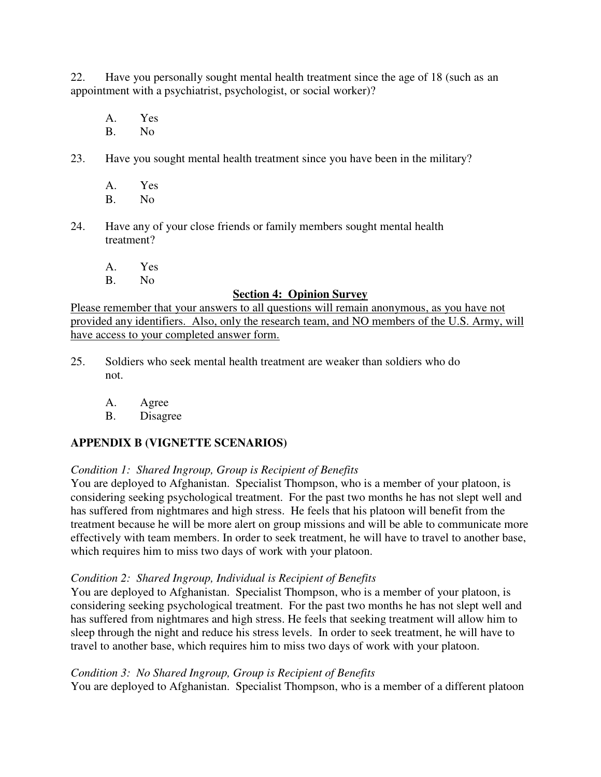22. Have you personally sought mental health treatment since the age of 18 (such as an appointment with a psychiatrist, psychologist, or social worker)?

- A. Yes B. No
- 23. Have you sought mental health treatment since you have been in the military?
	- A. Yes
	- B. No
- 24. Have any of your close friends or family members sought mental health treatment?
	- A. Yes
	- B. No

#### **Section 4: Opinion Survey**

Please remember that your answers to all questions will remain anonymous, as you have not provided any identifiers. Also, only the research team, and NO members of the U.S. Army, will have access to your completed answer form.

- 25. Soldiers who seek mental health treatment are weaker than soldiers who do not.
	- A. Agree
	- B. Disagree

## **APPENDIX B (VIGNETTE SCENARIOS)**

## *Condition 1: Shared Ingroup, Group is Recipient of Benefits*

You are deployed to Afghanistan. Specialist Thompson, who is a member of your platoon, is considering seeking psychological treatment. For the past two months he has not slept well and has suffered from nightmares and high stress. He feels that his platoon will benefit from the treatment because he will be more alert on group missions and will be able to communicate more effectively with team members. In order to seek treatment, he will have to travel to another base, which requires him to miss two days of work with your platoon.

#### *Condition 2: Shared Ingroup, Individual is Recipient of Benefits*

You are deployed to Afghanistan. Specialist Thompson, who is a member of your platoon, is considering seeking psychological treatment. For the past two months he has not slept well and has suffered from nightmares and high stress. He feels that seeking treatment will allow him to sleep through the night and reduce his stress levels. In order to seek treatment, he will have to travel to another base, which requires him to miss two days of work with your platoon.

#### *Condition 3: No Shared Ingroup, Group is Recipient of Benefits*

You are deployed to Afghanistan. Specialist Thompson, who is a member of a different platoon